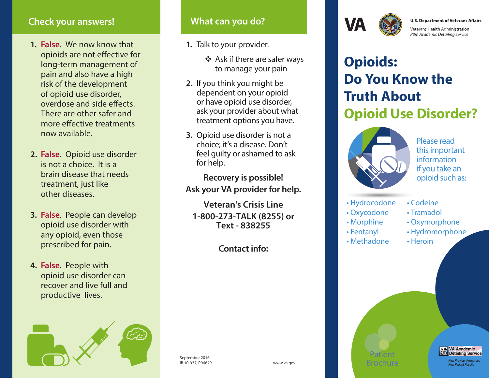# **Check your answers!**

- **1. False**. We now know that opioids are not effective for long-term management of pain and also have a high risk of the development of opioid use disorder, overdose and side effects. There are other safer and more effective treatments now available.
- **2. False**. Opioid use disorder is not a choice. It is a brain disease that needs treatment, just like other diseases.
- **3. False**. People can develop opioid use disorder with any opioid, even those prescribed for pain.
- **4. False**. People with opioid use disorder can recover and live full and productive lives.



# **What can you do?**

- **1.** Talk to your provider.
	- Ask if there are safer ways to manage your pain
- **2.** If you think you might be dependent on your opioid or have opioid use disorder, ask your provider about what treatment options you have.
- **3.** Opioid use disorder is not a choice; it's a disease. Don't feel guilty or ashamed to ask for help.

**Recovery is possible! Ask your VA provider for help.**

**Veteran's Crisis Line 1-800-273-TALK (8255) or Text - 838255**

**Contact info:**



**U.S. Department of Veterans Affairs** 

**Veterans Health Administration** *PBM Academic Detailing Service*

# **Opioids: Do You Know the Truth About Opioid Use Disorder?**



Please read this important information if you take an opioid such as:

- Hydrocodone
- Oxycodone

Patient Brochure

- Morphine
- Fentanyl
- Methadone
- Codeine
- Tramadol
- Oxymorphone
	- Hydromorphone

**A.L.** VA Academic<br><sup>**OD**</sup> Detailing Service Real Provider Resources **Real Patient Results** 

• Heroin

September 2016 IB 10-937, P96829 www.va.gov